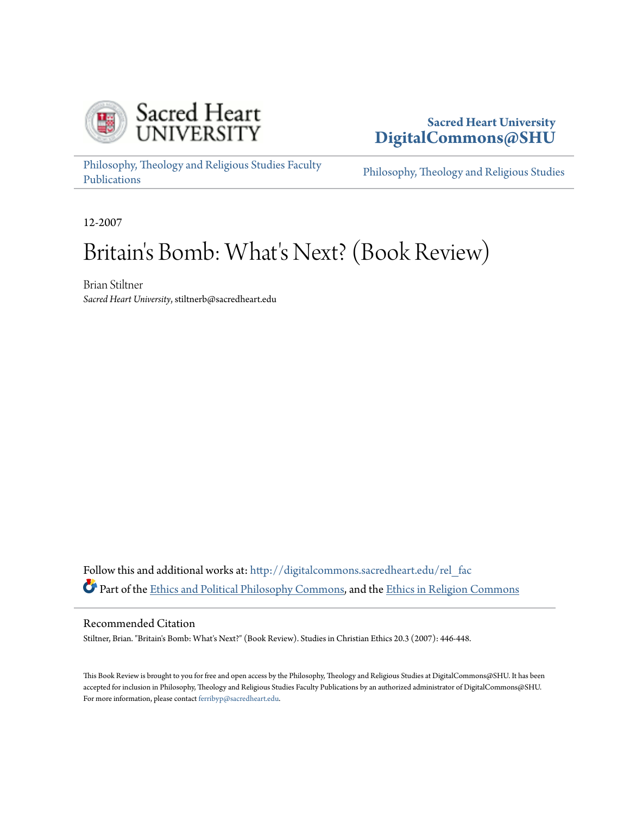

## **Sacred Heart University [DigitalCommons@SHU](http://digitalcommons.sacredheart.edu?utm_source=digitalcommons.sacredheart.edu%2Frel_fac%2F57&utm_medium=PDF&utm_campaign=PDFCoverPages)**

[Philosophy, Theology and Religious Studies Faculty](http://digitalcommons.sacredheart.edu/rel_fac?utm_source=digitalcommons.sacredheart.edu%2Frel_fac%2F57&utm_medium=PDF&utm_campaign=PDFCoverPages) [Publications](http://digitalcommons.sacredheart.edu/rel_fac?utm_source=digitalcommons.sacredheart.edu%2Frel_fac%2F57&utm_medium=PDF&utm_campaign=PDFCoverPages)

[Philosophy, Theology and Religious Studies](http://digitalcommons.sacredheart.edu/rel?utm_source=digitalcommons.sacredheart.edu%2Frel_fac%2F57&utm_medium=PDF&utm_campaign=PDFCoverPages)

12-2007

## Britain's Bomb: What's Next? (Book Review)

Brian Stiltner *Sacred Heart University*, stiltnerb@sacredheart.edu

Follow this and additional works at: [http://digitalcommons.sacredheart.edu/rel\\_fac](http://digitalcommons.sacredheart.edu/rel_fac?utm_source=digitalcommons.sacredheart.edu%2Frel_fac%2F57&utm_medium=PDF&utm_campaign=PDFCoverPages) Part of the [Ethics and Political Philosophy Commons,](http://network.bepress.com/hgg/discipline/529?utm_source=digitalcommons.sacredheart.edu%2Frel_fac%2F57&utm_medium=PDF&utm_campaign=PDFCoverPages) and the [Ethics in Religion Commons](http://network.bepress.com/hgg/discipline/541?utm_source=digitalcommons.sacredheart.edu%2Frel_fac%2F57&utm_medium=PDF&utm_campaign=PDFCoverPages)

## Recommended Citation

Stiltner, Brian. "Britain's Bomb: What's Next?" (Book Review). Studies in Christian Ethics 20.3 (2007): 446-448.

This Book Review is brought to you for free and open access by the Philosophy, Theology and Religious Studies at DigitalCommons@SHU. It has been accepted for inclusion in Philosophy, Theology and Religious Studies Faculty Publications by an authorized administrator of DigitalCommons@SHU. For more information, please contact [ferribyp@sacredheart.edu](mailto:ferribyp@sacredheart.edu).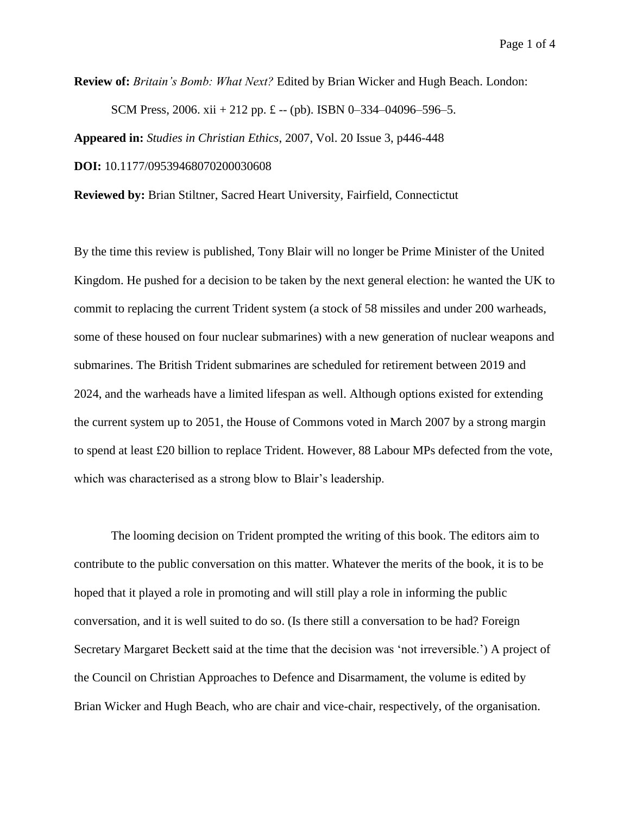**Review of:** *Britain's Bomb: What Next?* Edited by Brian Wicker and Hugh Beach. London:

SCM Press, 2006. xii + 212 pp. £ -- (pb). ISBN 0-334-04096-596-5.

**Appeared in:** *Studies in Christian Ethics*, 2007, Vol. 20 Issue 3, p446-448

**DOI:** 10.1177/09539468070200030608

**Reviewed by:** Brian Stiltner, Sacred Heart University, Fairfield, Connectictut

By the time this review is published, Tony Blair will no longer be Prime Minister of the United Kingdom. He pushed for a decision to be taken by the next general election: he wanted the UK to commit to replacing the current Trident system (a stock of 58 missiles and under 200 warheads, some of these housed on four nuclear submarines) with a new generation of nuclear weapons and submarines. The British Trident submarines are scheduled for retirement between 2019 and 2024, and the warheads have a limited lifespan as well. Although options existed for extending the current system up to 2051, the House of Commons voted in March 2007 by a strong margin to spend at least £20 billion to replace Trident. However, 88 Labour MPs defected from the vote, which was characterised as a strong blow to Blair's leadership.

The looming decision on Trident prompted the writing of this book. The editors aim to contribute to the public conversation on this matter. Whatever the merits of the book, it is to be hoped that it played a role in promoting and will still play a role in informing the public conversation, and it is well suited to do so. (Is there still a conversation to be had? Foreign Secretary Margaret Beckett said at the time that the decision was 'not irreversible.') A project of the Council on Christian Approaches to Defence and Disarmament, the volume is edited by Brian Wicker and Hugh Beach, who are chair and vice-chair, respectively, of the organisation.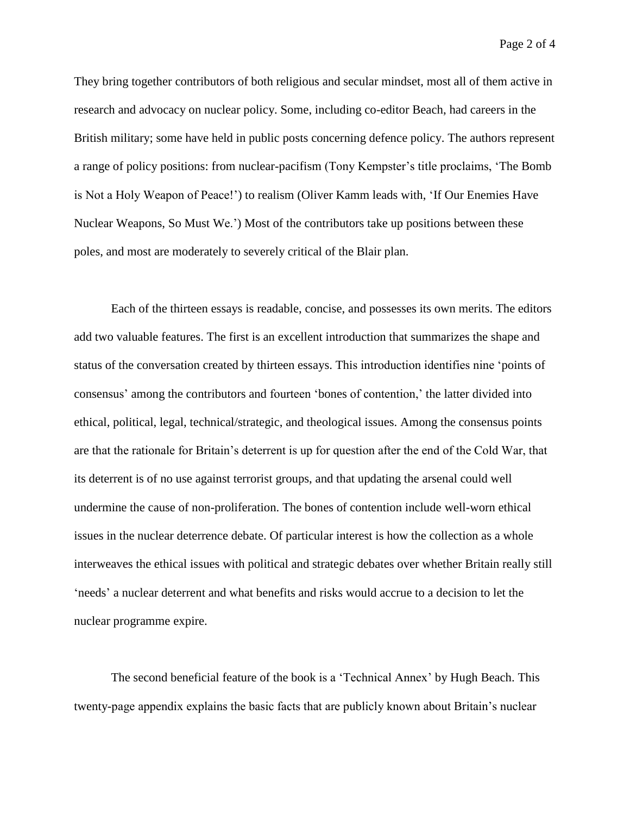Page 2 of 4

They bring together contributors of both religious and secular mindset, most all of them active in research and advocacy on nuclear policy. Some, including co-editor Beach, had careers in the British military; some have held in public posts concerning defence policy. The authors represent a range of policy positions: from nuclear-pacifism (Tony Kempster's title proclaims, 'The Bomb is Not a Holy Weapon of Peace!') to realism (Oliver Kamm leads with, 'If Our Enemies Have Nuclear Weapons, So Must We.') Most of the contributors take up positions between these poles, and most are moderately to severely critical of the Blair plan.

Each of the thirteen essays is readable, concise, and possesses its own merits. The editors add two valuable features. The first is an excellent introduction that summarizes the shape and status of the conversation created by thirteen essays. This introduction identifies nine 'points of consensus' among the contributors and fourteen 'bones of contention,' the latter divided into ethical, political, legal, technical/strategic, and theological issues. Among the consensus points are that the rationale for Britain's deterrent is up for question after the end of the Cold War, that its deterrent is of no use against terrorist groups, and that updating the arsenal could well undermine the cause of non-proliferation. The bones of contention include well-worn ethical issues in the nuclear deterrence debate. Of particular interest is how the collection as a whole interweaves the ethical issues with political and strategic debates over whether Britain really still 'needs' a nuclear deterrent and what benefits and risks would accrue to a decision to let the nuclear programme expire.

The second beneficial feature of the book is a 'Technical Annex' by Hugh Beach. This twenty-page appendix explains the basic facts that are publicly known about Britain's nuclear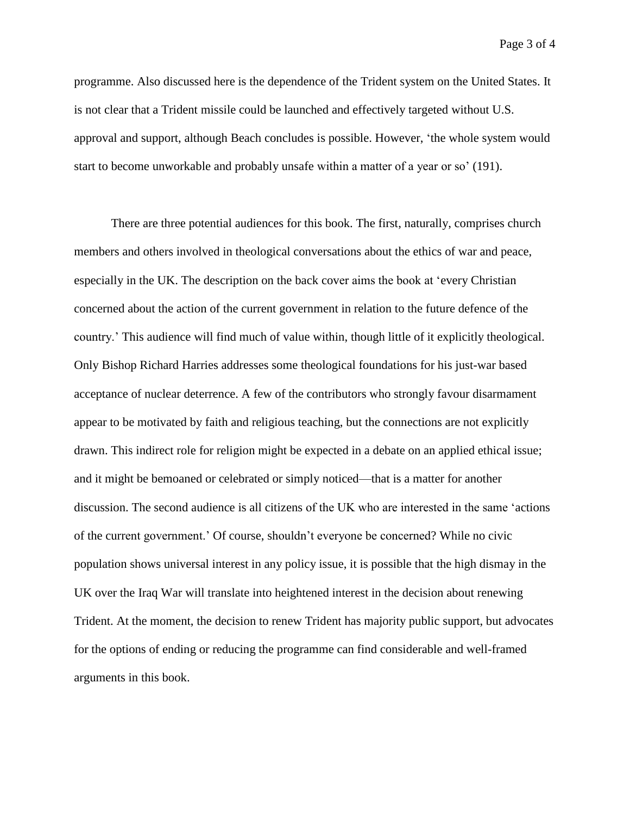Page 3 of 4

programme. Also discussed here is the dependence of the Trident system on the United States. It is not clear that a Trident missile could be launched and effectively targeted without U.S. approval and support, although Beach concludes is possible. However, 'the whole system would start to become unworkable and probably unsafe within a matter of a year or so' (191).

There are three potential audiences for this book. The first, naturally, comprises church members and others involved in theological conversations about the ethics of war and peace, especially in the UK. The description on the back cover aims the book at 'every Christian concerned about the action of the current government in relation to the future defence of the country.' This audience will find much of value within, though little of it explicitly theological. Only Bishop Richard Harries addresses some theological foundations for his just-war based acceptance of nuclear deterrence. A few of the contributors who strongly favour disarmament appear to be motivated by faith and religious teaching, but the connections are not explicitly drawn. This indirect role for religion might be expected in a debate on an applied ethical issue; and it might be bemoaned or celebrated or simply noticed—that is a matter for another discussion. The second audience is all citizens of the UK who are interested in the same 'actions of the current government.' Of course, shouldn't everyone be concerned? While no civic population shows universal interest in any policy issue, it is possible that the high dismay in the UK over the Iraq War will translate into heightened interest in the decision about renewing Trident. At the moment, the decision to renew Trident has majority public support, but advocates for the options of ending or reducing the programme can find considerable and well-framed arguments in this book.